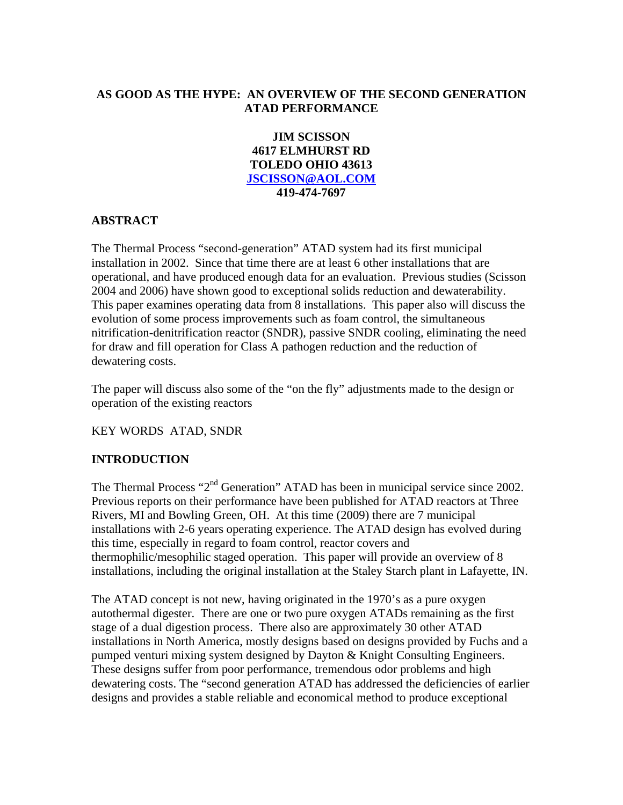## **AS GOOD AS THE HYPE: AN OVERVIEW OF THE SECOND GENERATION ATAD PERFORMANCE**

**JIM SCISSON 4617 ELMHURST RD TOLEDO OHIO 43613 JSCISSON@AOL.COM 419-474-7697** 

## **ABSTRACT**

The Thermal Process "second-generation" ATAD system had its first municipal installation in 2002. Since that time there are at least 6 other installations that are operational, and have produced enough data for an evaluation. Previous studies (Scisson 2004 and 2006) have shown good to exceptional solids reduction and dewaterability. This paper examines operating data from 8 installations. This paper also will discuss the evolution of some process improvements such as foam control, the simultaneous nitrification-denitrification reactor (SNDR), passive SNDR cooling, eliminating the need for draw and fill operation for Class A pathogen reduction and the reduction of dewatering costs.

The paper will discuss also some of the "on the fly" adjustments made to the design or operation of the existing reactors

## KEY WORDS ATAD, SNDR

## **INTRODUCTION**

The Thermal Process "2<sup>nd</sup> Generation" ATAD has been in municipal service since 2002. Previous reports on their performance have been published for ATAD reactors at Three Rivers, MI and Bowling Green, OH. At this time (2009) there are 7 municipal installations with 2-6 years operating experience. The ATAD design has evolved during this time, especially in regard to foam control, reactor covers and thermophilic/mesophilic staged operation. This paper will provide an overview of 8 installations, including the original installation at the Staley Starch plant in Lafayette, IN.

The ATAD concept is not new, having originated in the 1970's as a pure oxygen autothermal digester. There are one or two pure oxygen ATADs remaining as the first stage of a dual digestion process. There also are approximately 30 other ATAD installations in North America, mostly designs based on designs provided by Fuchs and a pumped venturi mixing system designed by Dayton & Knight Consulting Engineers. These designs suffer from poor performance, tremendous odor problems and high dewatering costs. The "second generation ATAD has addressed the deficiencies of earlier designs and provides a stable reliable and economical method to produce exceptional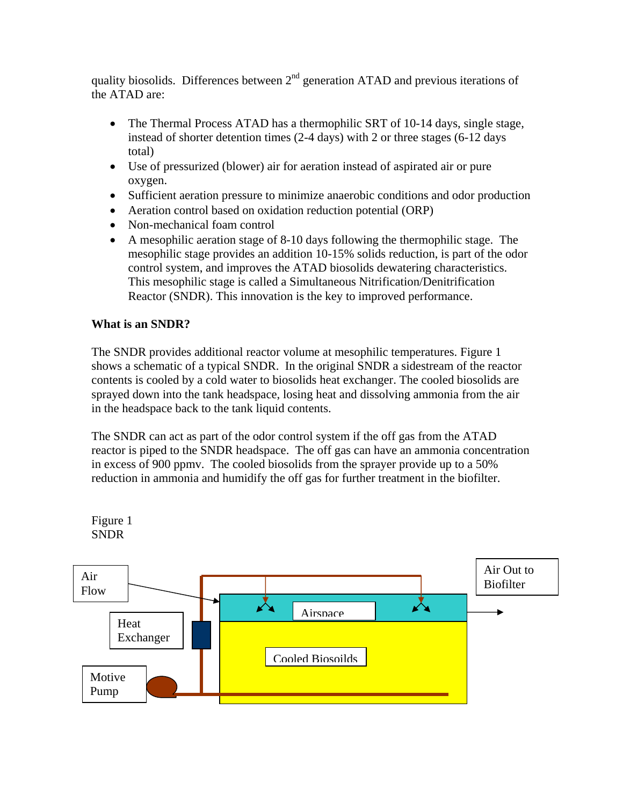quality biosolids. Differences between  $2<sup>nd</sup>$  generation ATAD and previous iterations of the ATAD are:

- The Thermal Process ATAD has a thermophilic SRT of 10-14 days, single stage, instead of shorter detention times (2-4 days) with 2 or three stages (6-12 days total)
- Use of pressurized (blower) air for aeration instead of aspirated air or pure oxygen.
- Sufficient aeration pressure to minimize anaerobic conditions and odor production
- Aeration control based on oxidation reduction potential (ORP)
- Non-mechanical foam control
- A mesophilic aeration stage of 8-10 days following the thermophilic stage. The mesophilic stage provides an addition 10-15% solids reduction, is part of the odor control system, and improves the ATAD biosolids dewatering characteristics. This mesophilic stage is called a Simultaneous Nitrification/Denitrification Reactor (SNDR). This innovation is the key to improved performance.

## **What is an SNDR?**

The SNDR provides additional reactor volume at mesophilic temperatures. Figure 1 shows a schematic of a typical SNDR. In the original SNDR a sidestream of the reactor contents is cooled by a cold water to biosolids heat exchanger. The cooled biosolids are sprayed down into the tank headspace, losing heat and dissolving ammonia from the air in the headspace back to the tank liquid contents.

The SNDR can act as part of the odor control system if the off gas from the ATAD reactor is piped to the SNDR headspace. The off gas can have an ammonia concentration in excess of 900 ppmv. The cooled biosolids from the sprayer provide up to a 50% reduction in ammonia and humidify the off gas for further treatment in the biofilter.

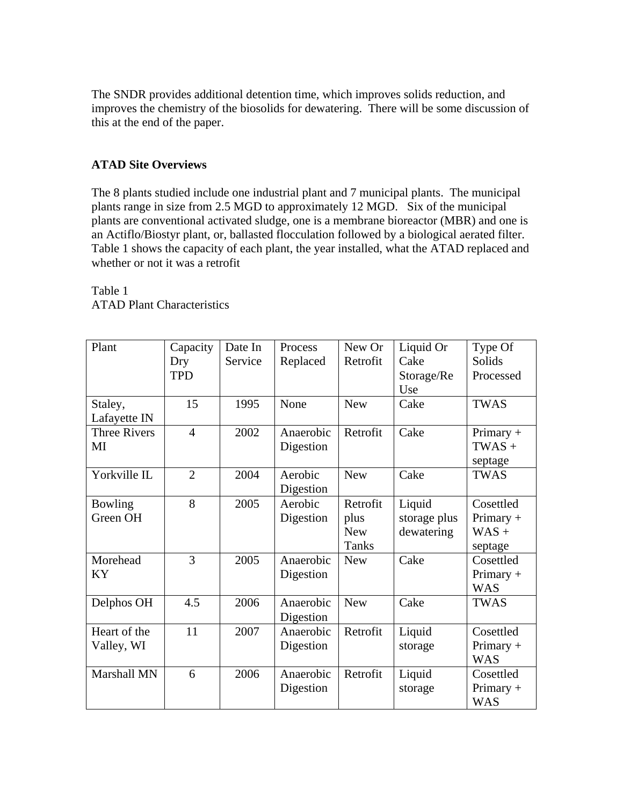The SNDR provides additional detention time, which improves solids reduction, and improves the chemistry of the biosolids for dewatering. There will be some discussion of this at the end of the paper.

## **ATAD Site Overviews**

The 8 plants studied include one industrial plant and 7 municipal plants. The municipal plants range in size from 2.5 MGD to approximately 12 MGD. Six of the municipal plants are conventional activated sludge, one is a membrane bioreactor (MBR) and one is an Actiflo/Biostyr plant, or, ballasted flocculation followed by a biological aerated filter. Table 1 shows the capacity of each plant, the year installed, what the ATAD replaced and whether or not it was a retrofit

| Plant               | Capacity       | Date In | Process   | New Or       | Liquid Or    | Type Of     |
|---------------------|----------------|---------|-----------|--------------|--------------|-------------|
|                     | Dry            | Service | Replaced  | Retrofit     | Cake         | Solids      |
|                     | <b>TPD</b>     |         |           |              | Storage/Re   | Processed   |
|                     |                |         |           |              | Use          |             |
| Staley,             | 15             | 1995    | None      | <b>New</b>   | Cake         | <b>TWAS</b> |
| Lafayette IN        |                |         |           |              |              |             |
| <b>Three Rivers</b> | $\overline{4}$ | 2002    | Anaerobic | Retrofit     | Cake         | Primary +   |
| MI                  |                |         | Digestion |              |              | $TWAS +$    |
|                     |                |         |           |              |              | septage     |
| Yorkville IL        | $\overline{2}$ | 2004    | Aerobic   | <b>New</b>   | Cake         | <b>TWAS</b> |
|                     |                |         | Digestion |              |              |             |
| Bowling             | 8              | 2005    | Aerobic   | Retrofit     | Liquid       | Cosettled   |
| Green OH            |                |         | Digestion | plus         | storage plus | Primary $+$ |
|                     |                |         |           | <b>New</b>   | dewatering   | $WAS +$     |
|                     |                |         |           | <b>Tanks</b> |              | septage     |
| Morehead            | 3              | 2005    | Anaerobic | <b>New</b>   | Cake         | Cosettled   |
| KY                  |                |         | Digestion |              |              | Primary +   |
|                     |                |         |           |              |              | <b>WAS</b>  |
| Delphos OH          | 4.5            | 2006    | Anaerobic | <b>New</b>   | Cake         | <b>TWAS</b> |
|                     |                |         | Digestion |              |              |             |
| Heart of the        | 11             | 2007    | Anaerobic | Retrofit     | Liquid       | Cosettled   |
| Valley, WI          |                |         | Digestion |              | storage      | Primary $+$ |
|                     |                |         |           |              |              | <b>WAS</b>  |
| Marshall MN         | 6              | 2006    | Anaerobic | Retrofit     | Liquid       | Cosettled   |
|                     |                |         | Digestion |              | storage      | Primary +   |
|                     |                |         |           |              |              | <b>WAS</b>  |

Table 1 ATAD Plant Characteristics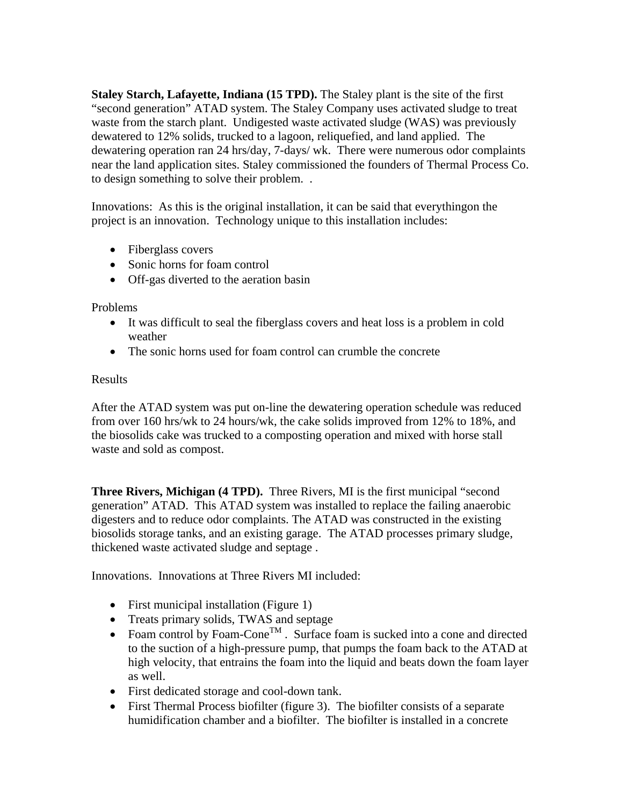**Staley Starch, Lafayette, Indiana (15 TPD).** The Staley plant is the site of the first "second generation" ATAD system. The Staley Company uses activated sludge to treat waste from the starch plant. Undigested waste activated sludge (WAS) was previously dewatered to 12% solids, trucked to a lagoon, reliquefied, and land applied. The dewatering operation ran 24 hrs/day, 7-days/ wk. There were numerous odor complaints near the land application sites. Staley commissioned the founders of Thermal Process Co. to design something to solve their problem. .

Innovations: As this is the original installation, it can be said that everythingon the project is an innovation. Technology unique to this installation includes:

- Fiberglass covers
- Sonic horns for foam control
- Off-gas diverted to the aeration basin

Problems

- It was difficult to seal the fiberglass covers and heat loss is a problem in cold weather
- The sonic horns used for foam control can crumble the concrete

### Results

After the ATAD system was put on-line the dewatering operation schedule was reduced from over 160 hrs/wk to 24 hours/wk, the cake solids improved from 12% to 18%, and the biosolids cake was trucked to a composting operation and mixed with horse stall waste and sold as compost.

**Three Rivers, Michigan (4 TPD).** Three Rivers, MI is the first municipal "second generation" ATAD. This ATAD system was installed to replace the failing anaerobic digesters and to reduce odor complaints. The ATAD was constructed in the existing biosolids storage tanks, and an existing garage. The ATAD processes primary sludge, thickened waste activated sludge and septage .

Innovations. Innovations at Three Rivers MI included:

- First municipal installation (Figure 1)
- Treats primary solids, TWAS and septage
- Foam control by Foam-Cone<sup>TM</sup>. Surface foam is sucked into a cone and directed to the suction of a high-pressure pump, that pumps the foam back to the ATAD at high velocity, that entrains the foam into the liquid and beats down the foam layer as well.
- First dedicated storage and cool-down tank.
- First Thermal Process biofilter (figure 3). The biofilter consists of a separate humidification chamber and a biofilter. The biofilter is installed in a concrete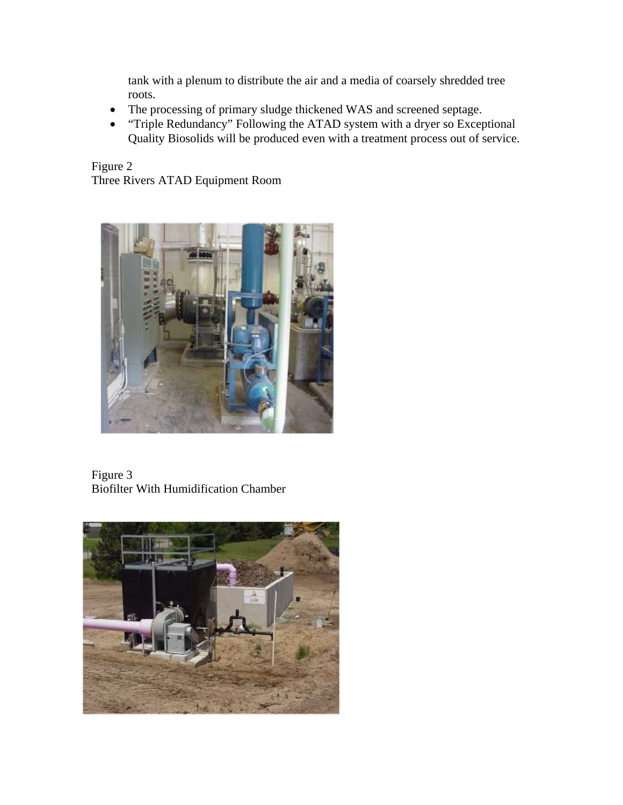tank with a plenum to distribute the air and a media of coarsely shredded tree roots.

- The processing of primary sludge thickened WAS and screened septage.
- "Triple Redundancy" Following the ATAD system with a dryer so Exceptional Quality Biosolids will be produced even with a treatment process out of service.

Figure 2 Three Rivers ATAD Equipment Room



Figure 3 Biofilter With Humidification Chamber

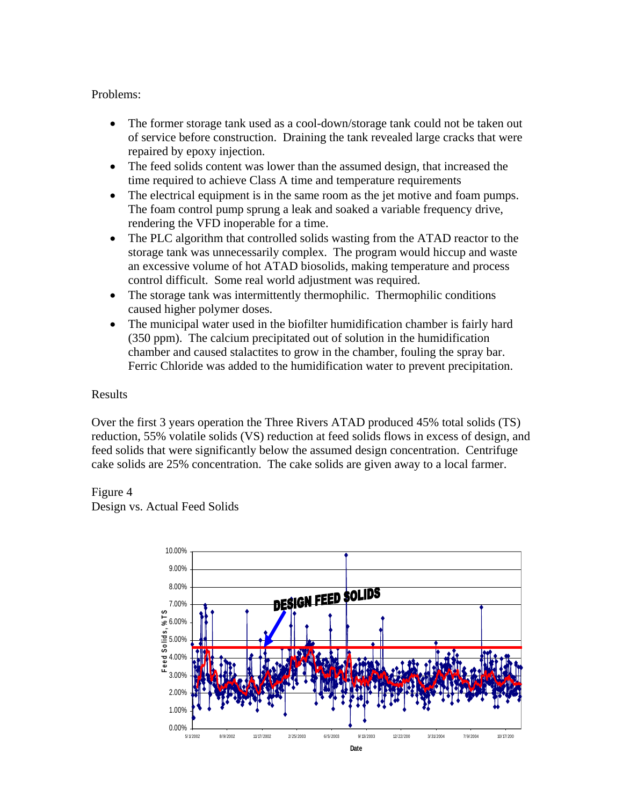#### Problems:

- The former storage tank used as a cool-down/storage tank could not be taken out of service before construction. Draining the tank revealed large cracks that were repaired by epoxy injection.
- The feed solids content was lower than the assumed design, that increased the time required to achieve Class A time and temperature requirements
- The electrical equipment is in the same room as the jet motive and foam pumps. The foam control pump sprung a leak and soaked a variable frequency drive, rendering the VFD inoperable for a time.
- The PLC algorithm that controlled solids wasting from the ATAD reactor to the storage tank was unnecessarily complex. The program would hiccup and waste an excessive volume of hot ATAD biosolids, making temperature and process control difficult. Some real world adjustment was required.
- The storage tank was intermittently thermophilic. Thermophilic conditions caused higher polymer doses.
- The municipal water used in the biofilter humidification chamber is fairly hard (350 ppm). The calcium precipitated out of solution in the humidification chamber and caused stalactites to grow in the chamber, fouling the spray bar. Ferric Chloride was added to the humidification water to prevent precipitation.

#### Results

Over the first 3 years operation the Three Rivers ATAD produced 45% total solids (TS) reduction, 55% volatile solids (VS) reduction at feed solids flows in excess of design, and feed solids that were significantly below the assumed design concentration. Centrifuge cake solids are 25% concentration. The cake solids are given away to a local farmer.

Figure 4

Design vs. Actual Feed Solids

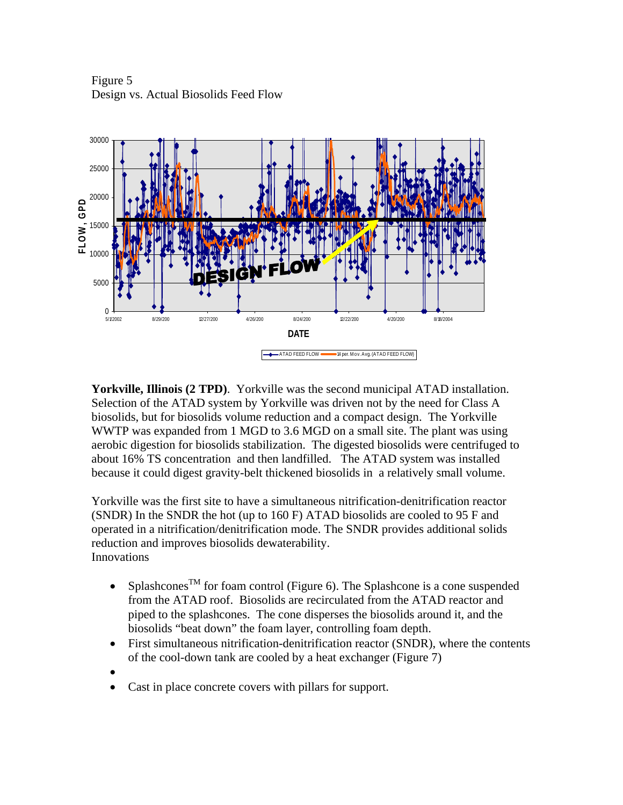Figure 5 Design vs. Actual Biosolids Feed Flow



**Yorkville, Illinois (2 TPD)**. Yorkville was the second municipal ATAD installation. Selection of the ATAD system by Yorkville was driven not by the need for Class A biosolids, but for biosolids volume reduction and a compact design. The Yorkville WWTP was expanded from 1 MGD to 3.6 MGD on a small site. The plant was using aerobic digestion for biosolids stabilization. The digested biosolids were centrifuged to about 16% TS concentration and then landfilled. The ATAD system was installed because it could digest gravity-belt thickened biosolids in a relatively small volume.

Yorkville was the first site to have a simultaneous nitrification-denitrification reactor (SNDR) In the SNDR the hot (up to 160 F) ATAD biosolids are cooled to 95 F and operated in a nitrification/denitrification mode. The SNDR provides additional solids reduction and improves biosolids dewaterability. Innovations

- Splashcones<sup>TM</sup> for foam control (Figure 6). The Splashcone is a cone suspended from the ATAD roof. Biosolids are recirculated from the ATAD reactor and piped to the splashcones. The cone disperses the biosolids around it, and the biosolids "beat down" the foam layer, controlling foam depth.
- First simultaneous nitrification-denitrification reactor (SNDR), where the contents of the cool-down tank are cooled by a heat exchanger (Figure 7)
- $\bullet$
- Cast in place concrete covers with pillars for support.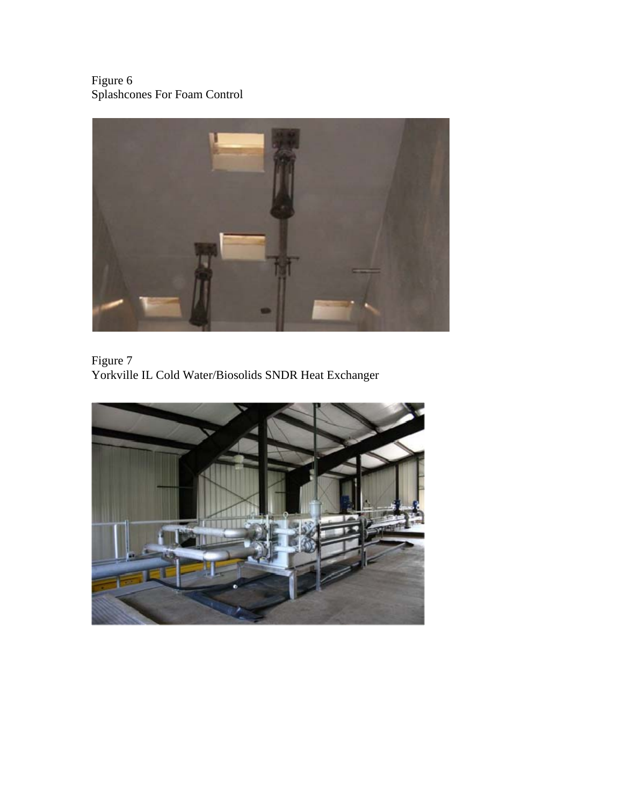Figure 6 Splashcones For Foam Control



Figure 7 Yorkville IL Cold Water/Biosolids SNDR Heat Exchanger

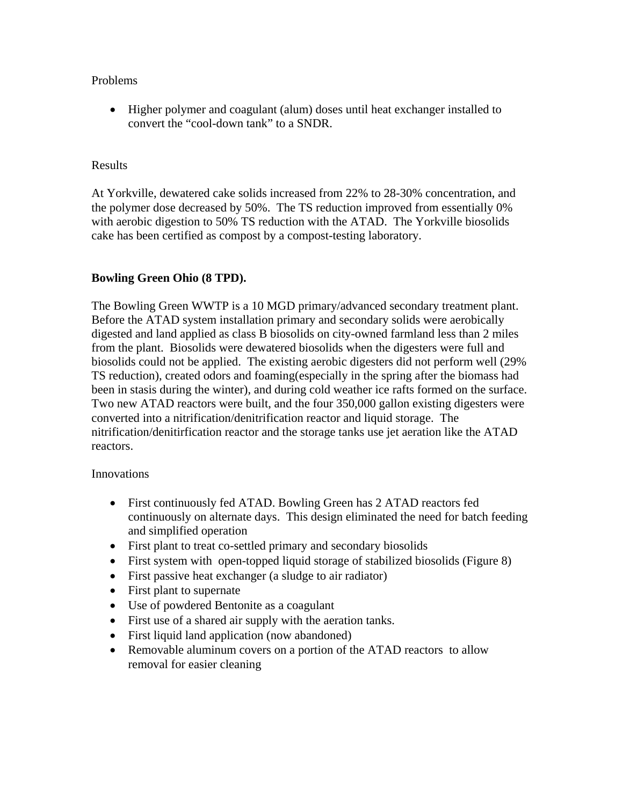#### Problems

 Higher polymer and coagulant (alum) doses until heat exchanger installed to convert the "cool-down tank" to a SNDR.

### Results

At Yorkville, dewatered cake solids increased from 22% to 28-30% concentration, and the polymer dose decreased by 50%. The TS reduction improved from essentially 0% with aerobic digestion to 50% TS reduction with the ATAD. The Yorkville biosolids cake has been certified as compost by a compost-testing laboratory.

## **Bowling Green Ohio (8 TPD).**

The Bowling Green WWTP is a 10 MGD primary/advanced secondary treatment plant. Before the ATAD system installation primary and secondary solids were aerobically digested and land applied as class B biosolids on city-owned farmland less than 2 miles from the plant. Biosolids were dewatered biosolids when the digesters were full and biosolids could not be applied. The existing aerobic digesters did not perform well (29% TS reduction), created odors and foaming(especially in the spring after the biomass had been in stasis during the winter), and during cold weather ice rafts formed on the surface. Two new ATAD reactors were built, and the four 350,000 gallon existing digesters were converted into a nitrification/denitrification reactor and liquid storage. The nitrification/denitirfication reactor and the storage tanks use jet aeration like the ATAD reactors.

#### Innovations

- First continuously fed ATAD. Bowling Green has 2 ATAD reactors fed continuously on alternate days. This design eliminated the need for batch feeding and simplified operation
- First plant to treat co-settled primary and secondary biosolids
- First system with open-topped liquid storage of stabilized biosolids (Figure 8)
- First passive heat exchanger (a sludge to air radiator)
- First plant to supernate
- Use of powdered Bentonite as a coagulant
- First use of a shared air supply with the aeration tanks.
- First liquid land application (now abandoned)
- Removable aluminum covers on a portion of the ATAD reactors to allow removal for easier cleaning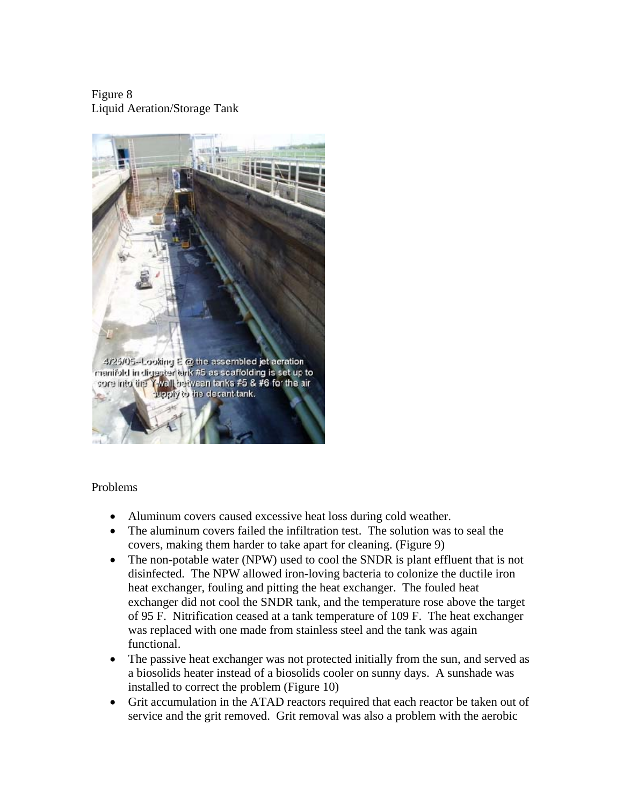Figure 8 Liquid Aeration/Storage Tank



#### Problems

- Aluminum covers caused excessive heat loss during cold weather.
- The aluminum covers failed the infiltration test. The solution was to seal the covers, making them harder to take apart for cleaning. (Figure 9)
- The non-potable water (NPW) used to cool the SNDR is plant effluent that is not disinfected. The NPW allowed iron-loving bacteria to colonize the ductile iron heat exchanger, fouling and pitting the heat exchanger. The fouled heat exchanger did not cool the SNDR tank, and the temperature rose above the target of 95 F. Nitrification ceased at a tank temperature of 109 F. The heat exchanger was replaced with one made from stainless steel and the tank was again functional.
- The passive heat exchanger was not protected initially from the sun, and served as a biosolids heater instead of a biosolids cooler on sunny days. A sunshade was installed to correct the problem (Figure 10)
- Grit accumulation in the ATAD reactors required that each reactor be taken out of service and the grit removed. Grit removal was also a problem with the aerobic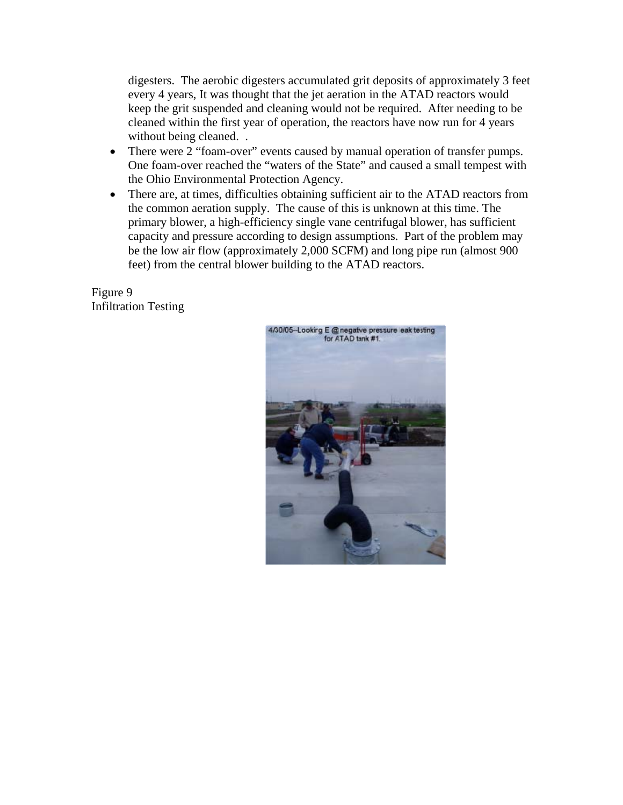digesters. The aerobic digesters accumulated grit deposits of approximately 3 feet every 4 years, It was thought that the jet aeration in the ATAD reactors would keep the grit suspended and cleaning would not be required. After needing to be cleaned within the first year of operation, the reactors have now run for 4 years without being cleaned...

- There were 2 "foam-over" events caused by manual operation of transfer pumps. One foam-over reached the "waters of the State" and caused a small tempest with the Ohio Environmental Protection Agency.
- There are, at times, difficulties obtaining sufficient air to the ATAD reactors from the common aeration supply. The cause of this is unknown at this time. The primary blower, a high-efficiency single vane centrifugal blower, has sufficient capacity and pressure according to design assumptions. Part of the problem may be the low air flow (approximately 2,000 SCFM) and long pipe run (almost 900 feet) from the central blower building to the ATAD reactors.

Figure 9 Infiltration Testing

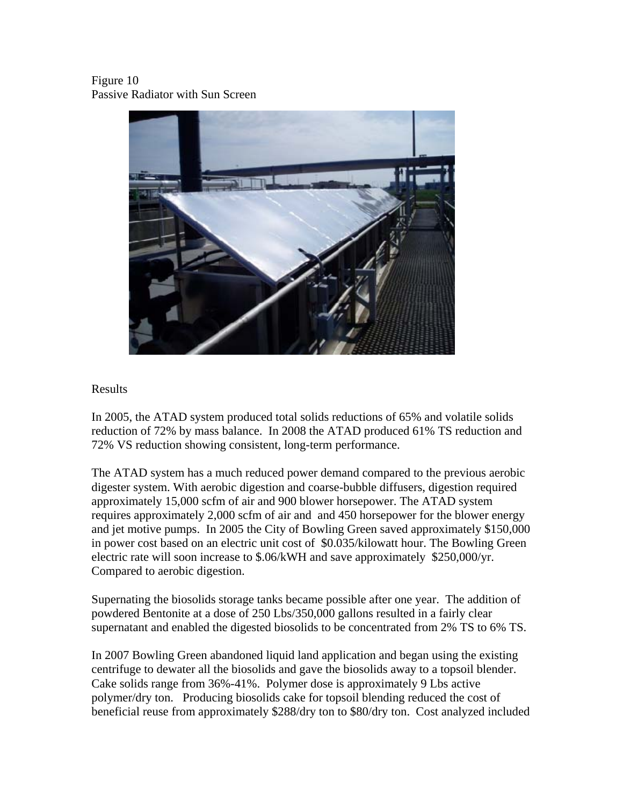Figure 10 Passive Radiator with Sun Screen



#### Results

In 2005, the ATAD system produced total solids reductions of 65% and volatile solids reduction of 72% by mass balance. In 2008 the ATAD produced 61% TS reduction and 72% VS reduction showing consistent, long-term performance.

The ATAD system has a much reduced power demand compared to the previous aerobic digester system. With aerobic digestion and coarse-bubble diffusers, digestion required approximately 15,000 scfm of air and 900 blower horsepower. The ATAD system requires approximately 2,000 scfm of air and and 450 horsepower for the blower energy and jet motive pumps. In 2005 the City of Bowling Green saved approximately \$150,000 in power cost based on an electric unit cost of \$0.035/kilowatt hour. The Bowling Green electric rate will soon increase to \$.06/kWH and save approximately \$250,000/yr. Compared to aerobic digestion.

Supernating the biosolids storage tanks became possible after one year. The addition of powdered Bentonite at a dose of 250 Lbs/350,000 gallons resulted in a fairly clear supernatant and enabled the digested biosolids to be concentrated from 2% TS to 6% TS.

In 2007 Bowling Green abandoned liquid land application and began using the existing centrifuge to dewater all the biosolids and gave the biosolids away to a topsoil blender. Cake solids range from 36%-41%. Polymer dose is approximately 9 Lbs active polymer/dry ton. Producing biosolids cake for topsoil blending reduced the cost of beneficial reuse from approximately \$288/dry ton to \$80/dry ton. Cost analyzed included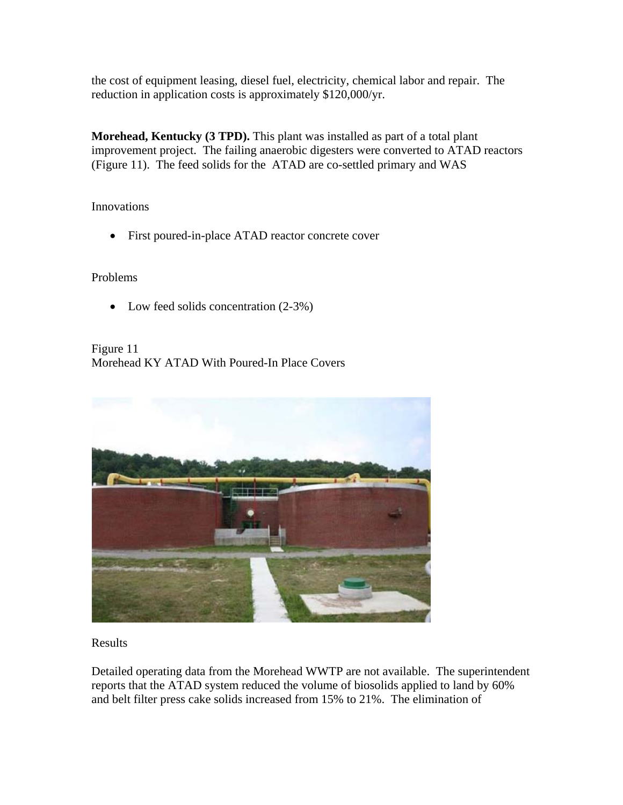the cost of equipment leasing, diesel fuel, electricity, chemical labor and repair. The reduction in application costs is approximately \$120,000/yr.

**Morehead, Kentucky (3 TPD).** This plant was installed as part of a total plant improvement project. The failing anaerobic digesters were converted to ATAD reactors (Figure 11). The feed solids for the ATAD are co-settled primary and WAS

Innovations

First poured-in-place ATAD reactor concrete cover

Problems

• Low feed solids concentration  $(2-3\%)$ 

Figure 11 Morehead KY ATAD With Poured-In Place Covers



Results

Detailed operating data from the Morehead WWTP are not available. The superintendent reports that the ATAD system reduced the volume of biosolids applied to land by 60% and belt filter press cake solids increased from 15% to 21%. The elimination of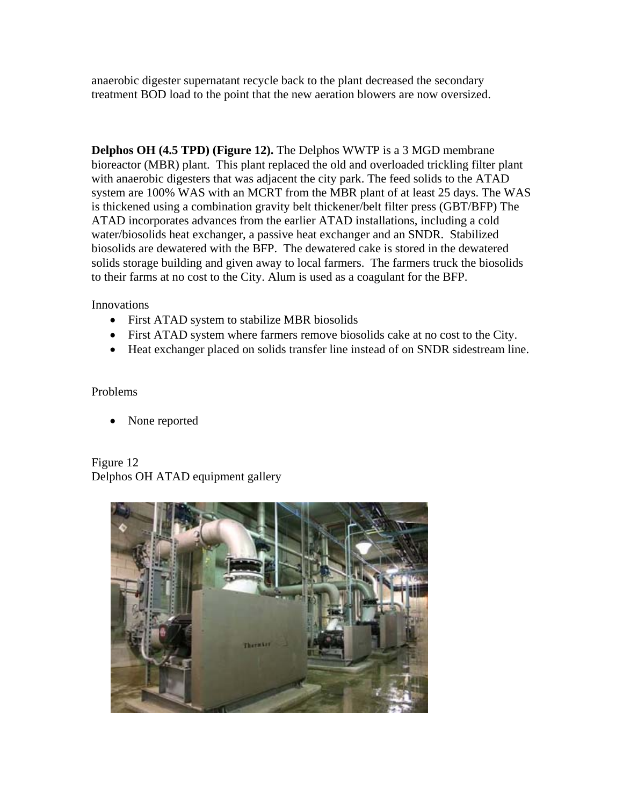anaerobic digester supernatant recycle back to the plant decreased the secondary treatment BOD load to the point that the new aeration blowers are now oversized.

**Delphos OH (4.5 TPD) (Figure 12).** The Delphos WWTP is a 3 MGD membrane bioreactor (MBR) plant. This plant replaced the old and overloaded trickling filter plant with anaerobic digesters that was adjacent the city park. The feed solids to the ATAD system are 100% WAS with an MCRT from the MBR plant of at least 25 days. The WAS is thickened using a combination gravity belt thickener/belt filter press (GBT/BFP) The ATAD incorporates advances from the earlier ATAD installations, including a cold water/biosolids heat exchanger, a passive heat exchanger and an SNDR. Stabilized biosolids are dewatered with the BFP. The dewatered cake is stored in the dewatered solids storage building and given away to local farmers. The farmers truck the biosolids to their farms at no cost to the City. Alum is used as a coagulant for the BFP.

Innovations

- First ATAD system to stabilize MBR biosolids
- First ATAD system where farmers remove biosolids cake at no cost to the City.
- Heat exchanger placed on solids transfer line instead of on SNDR sidestream line.

### Problems

• None reported

Figure 12 Delphos OH ATAD equipment gallery

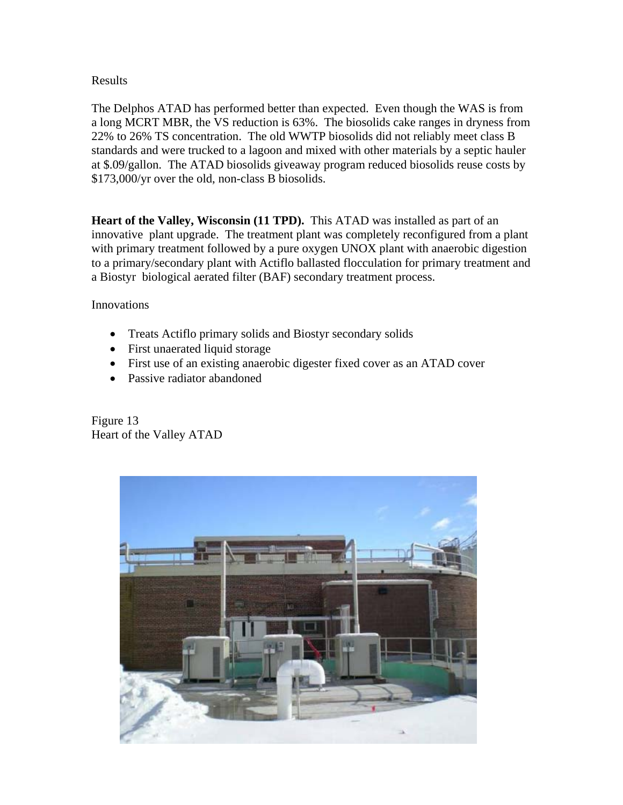### Results

The Delphos ATAD has performed better than expected. Even though the WAS is from a long MCRT MBR, the VS reduction is 63%. The biosolids cake ranges in dryness from 22% to 26% TS concentration. The old WWTP biosolids did not reliably meet class B standards and were trucked to a lagoon and mixed with other materials by a septic hauler at \$.09/gallon. The ATAD biosolids giveaway program reduced biosolids reuse costs by \$173,000/yr over the old, non-class B biosolids.

**Heart of the Valley, Wisconsin (11 TPD).** This ATAD was installed as part of an innovative plant upgrade. The treatment plant was completely reconfigured from a plant with primary treatment followed by a pure oxygen UNOX plant with anaerobic digestion to a primary/secondary plant with Actiflo ballasted flocculation for primary treatment and a Biostyr biological aerated filter (BAF) secondary treatment process.

Innovations

- Treats Actiflo primary solids and Biostyr secondary solids
- First unaerated liquid storage
- First use of an existing anaerobic digester fixed cover as an ATAD cover
- Passive radiator abandoned

Figure 13 Heart of the Valley ATAD

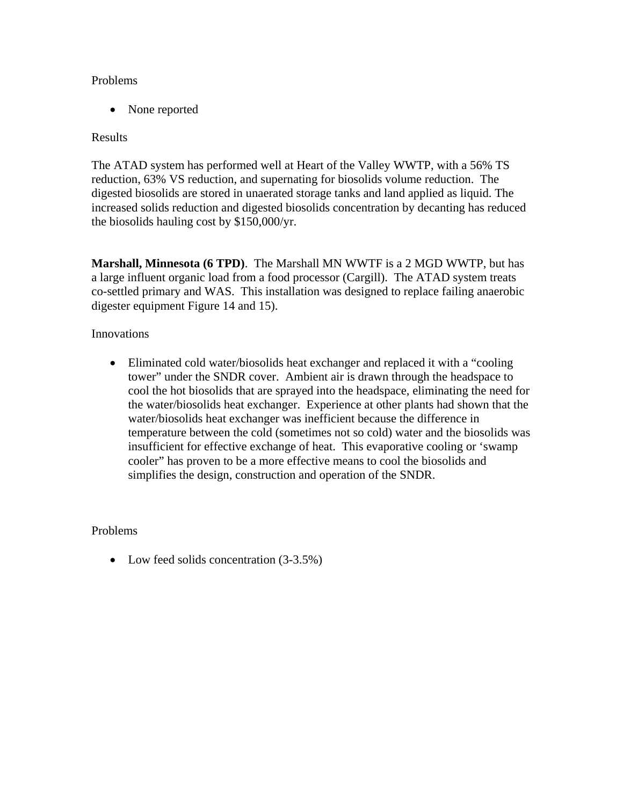#### Problems

• None reported

### Results

The ATAD system has performed well at Heart of the Valley WWTP, with a 56% TS reduction, 63% VS reduction, and supernating for biosolids volume reduction. The digested biosolids are stored in unaerated storage tanks and land applied as liquid. The increased solids reduction and digested biosolids concentration by decanting has reduced the biosolids hauling cost by \$150,000/yr.

**Marshall, Minnesota (6 TPD)**. The Marshall MN WWTF is a 2 MGD WWTP, but has a large influent organic load from a food processor (Cargill). The ATAD system treats co-settled primary and WAS. This installation was designed to replace failing anaerobic digester equipment Figure 14 and 15).

### Innovations

 Eliminated cold water/biosolids heat exchanger and replaced it with a "cooling tower" under the SNDR cover. Ambient air is drawn through the headspace to cool the hot biosolids that are sprayed into the headspace, eliminating the need for the water/biosolids heat exchanger. Experience at other plants had shown that the water/biosolids heat exchanger was inefficient because the difference in temperature between the cold (sometimes not so cold) water and the biosolids was insufficient for effective exchange of heat. This evaporative cooling or 'swamp cooler" has proven to be a more effective means to cool the biosolids and simplifies the design, construction and operation of the SNDR.

## Problems

• Low feed solids concentration  $(3-3.5%)$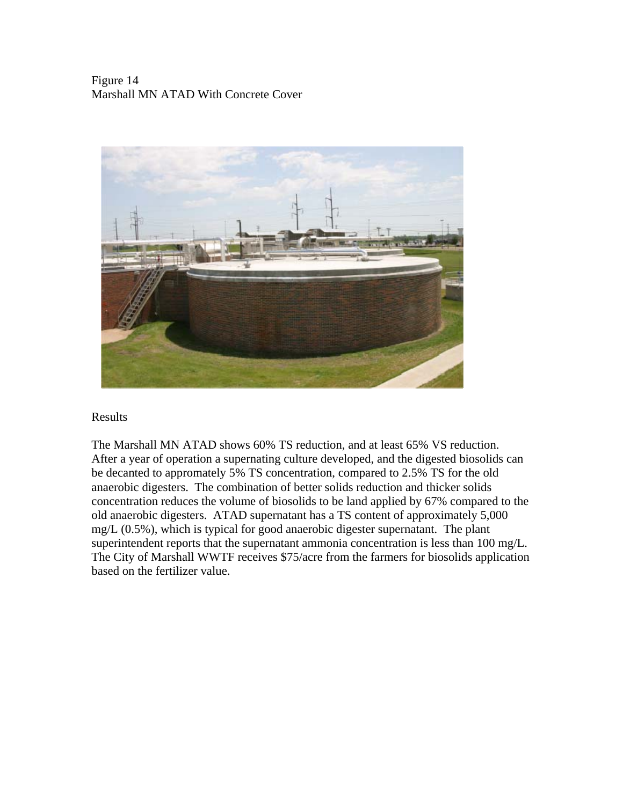## Figure 14 Marshall MN ATAD With Concrete Cover



#### Results

The Marshall MN ATAD shows 60% TS reduction, and at least 65% VS reduction. After a year of operation a supernating culture developed, and the digested biosolids can be decanted to appromately 5% TS concentration, compared to 2.5% TS for the old anaerobic digesters. The combination of better solids reduction and thicker solids concentration reduces the volume of biosolids to be land applied by 67% compared to the old anaerobic digesters. ATAD supernatant has a TS content of approximately 5,000 mg/L (0.5%), which is typical for good anaerobic digester supernatant. The plant superintendent reports that the supernatant ammonia concentration is less than 100 mg/L. The City of Marshall WWTF receives \$75/acre from the farmers for biosolids application based on the fertilizer value.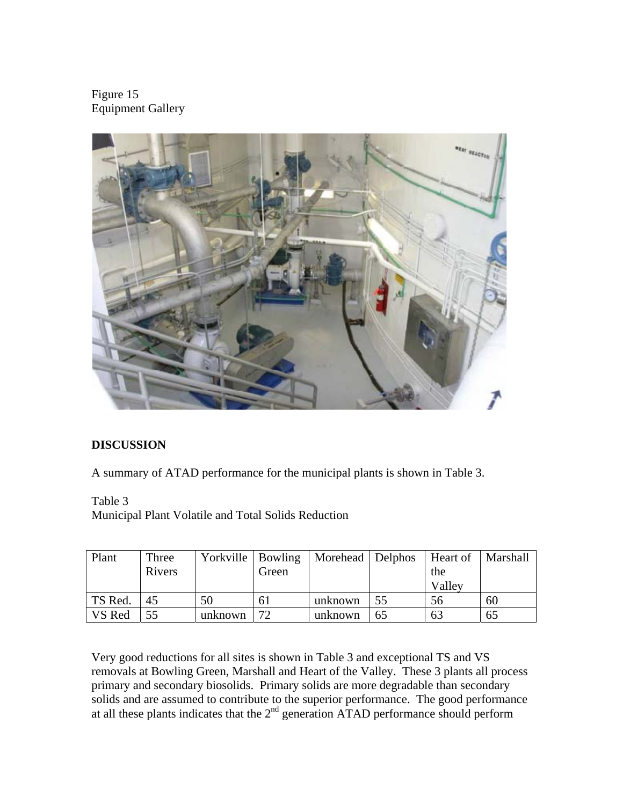Figure 15 Equipment Gallery



# **DISCUSSION**

A summary of ATAD performance for the municipal plants is shown in Table 3.

Table 3 Municipal Plant Volatile and Total Solids Reduction

| Plant   | Three<br>Rivers | Yorkville   Bowling | Green | Morehead   Delphos |    | Heart of<br>the<br>Valley | Marshall |
|---------|-----------------|---------------------|-------|--------------------|----|---------------------------|----------|
| TS Red. | 45              | 50                  | 6 I   | unknown            | 55 | 56                        | 60       |
| VS Red  | 55              | unknown             | 72    | unknown            | 65 | 63                        | 65       |

Very good reductions for all sites is shown in Table 3 and exceptional TS and VS removals at Bowling Green, Marshall and Heart of the Valley. These 3 plants all process primary and secondary biosolids. Primary solids are more degradable than secondary solids and are assumed to contribute to the superior performance. The good performance at all these plants indicates that the  $2<sup>nd</sup>$  generation ATAD performance should perform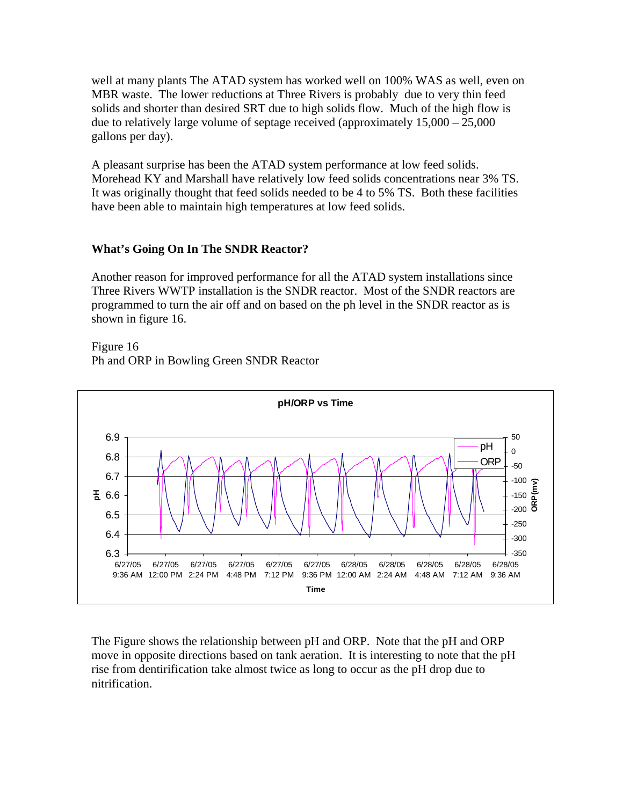well at many plants The ATAD system has worked well on 100% WAS as well, even on MBR waste. The lower reductions at Three Rivers is probably due to very thin feed solids and shorter than desired SRT due to high solids flow. Much of the high flow is due to relatively large volume of septage received (approximately 15,000 – 25,000 gallons per day).

A pleasant surprise has been the ATAD system performance at low feed solids. Morehead KY and Marshall have relatively low feed solids concentrations near 3% TS. It was originally thought that feed solids needed to be 4 to 5% TS. Both these facilities have been able to maintain high temperatures at low feed solids.

## **What's Going On In The SNDR Reactor?**

Another reason for improved performance for all the ATAD system installations since Three Rivers WWTP installation is the SNDR reactor. Most of the SNDR reactors are programmed to turn the air off and on based on the ph level in the SNDR reactor as is shown in figure 16.

Figure 16 Ph and ORP in Bowling Green SNDR Reactor



The Figure shows the relationship between pH and ORP. Note that the pH and ORP move in opposite directions based on tank aeration. It is interesting to note that the pH rise from dentirification take almost twice as long to occur as the pH drop due to nitrification.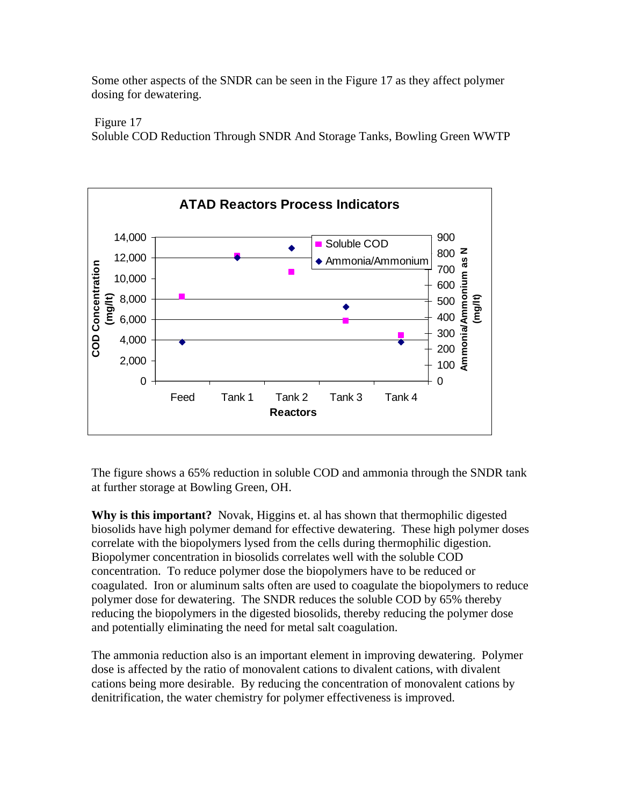Some other aspects of the SNDR can be seen in the Figure 17 as they affect polymer dosing for dewatering.

Figure 17

Soluble COD Reduction Through SNDR And Storage Tanks, Bowling Green WWTP



The figure shows a 65% reduction in soluble COD and ammonia through the SNDR tank at further storage at Bowling Green, OH.

**Why is this important?** Novak, Higgins et. al has shown that thermophilic digested biosolids have high polymer demand for effective dewatering. These high polymer doses correlate with the biopolymers lysed from the cells during thermophilic digestion. Biopolymer concentration in biosolids correlates well with the soluble COD concentration. To reduce polymer dose the biopolymers have to be reduced or coagulated. Iron or aluminum salts often are used to coagulate the biopolymers to reduce polymer dose for dewatering. The SNDR reduces the soluble COD by 65% thereby reducing the biopolymers in the digested biosolids, thereby reducing the polymer dose and potentially eliminating the need for metal salt coagulation.

The ammonia reduction also is an important element in improving dewatering. Polymer dose is affected by the ratio of monovalent cations to divalent cations, with divalent cations being more desirable. By reducing the concentration of monovalent cations by denitrification, the water chemistry for polymer effectiveness is improved.